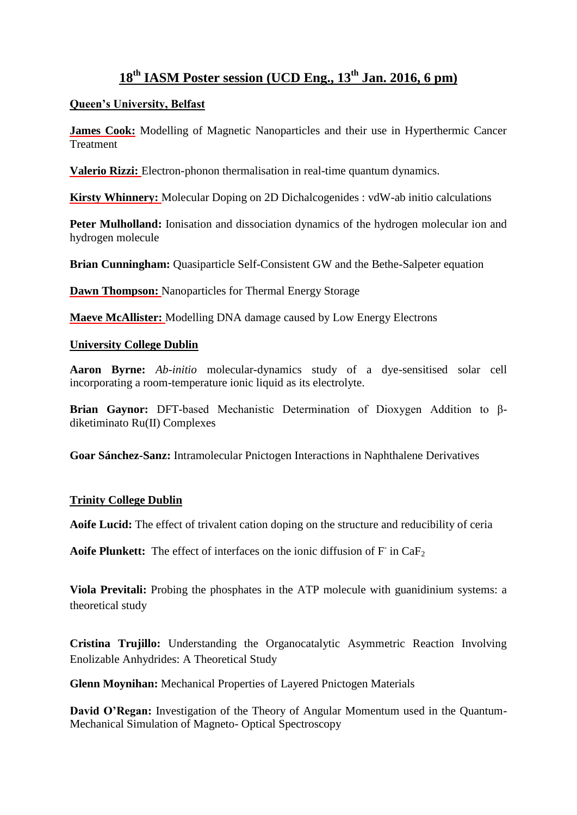# **18th IASM Poster session (UCD Eng., 13th Jan. 2016, 6 pm)**

#### **Queen's University, Belfast**

**James Cook:** Modelling of Magnetic Nanoparticles and their use in Hyperthermic Cancer **Treatment** 

**Valerio Rizzi:** Electron-phonon thermalisation in real-time quantum dynamics.

**Kirsty Whinnery:** Molecular Doping on 2D Dichalcogenides : vdW-ab initio calculations

**Peter Mulholland:** Ionisation and dissociation dynamics of the hydrogen molecular ion and hydrogen molecule

**Brian Cunningham:** Quasiparticle Self-Consistent GW and the Bethe-Salpeter equation

**Dawn Thompson:** Nanoparticles for Thermal Energy Storage

**Maeve McAllister:** Modelling DNA damage caused by Low Energy Electrons

#### **University College Dublin**

**Aaron Byrne:** *Ab-initio* molecular-dynamics study of a dye-sensitised solar cell incorporating a room-temperature ionic liquid as its electrolyte.

**Brian Gaynor:** DFT-based Mechanistic Determination of Dioxygen Addition to βdiketiminato Ru(II) Complexes

**Goar Sánchez-Sanz:** Intramolecular Pnictogen Interactions in Naphthalene Derivatives

### **Trinity College Dublin**

**Aoife Lucid:** The effect of trivalent cation doping on the structure and reducibility of ceria

Aoife Plunkett: The effect of interfaces on the ionic diffusion of F in CaF<sub>2</sub>

**Viola Previtali:** Probing the phosphates in the ATP molecule with guanidinium systems: a theoretical study

**Cristina Trujillo:** Understanding the Organocatalytic Asymmetric Reaction Involving Enolizable Anhydrides: A Theoretical Study

**Glenn Moynihan:** Mechanical Properties of Layered Pnictogen Materials

**David O'Regan:** Investigation of the Theory of Angular Momentum used in the Quantum-Mechanical Simulation of Magneto- Optical Spectroscopy